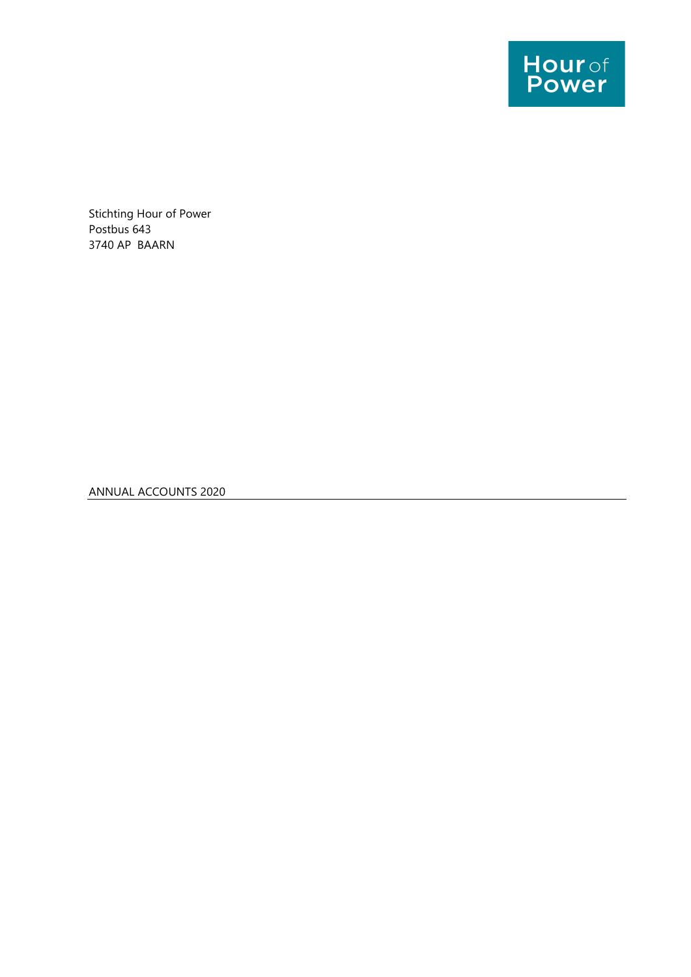

Stichting Hour of Power Postbus 643 3740 AP BAARN

ANNUAL ACCOUNTS 2020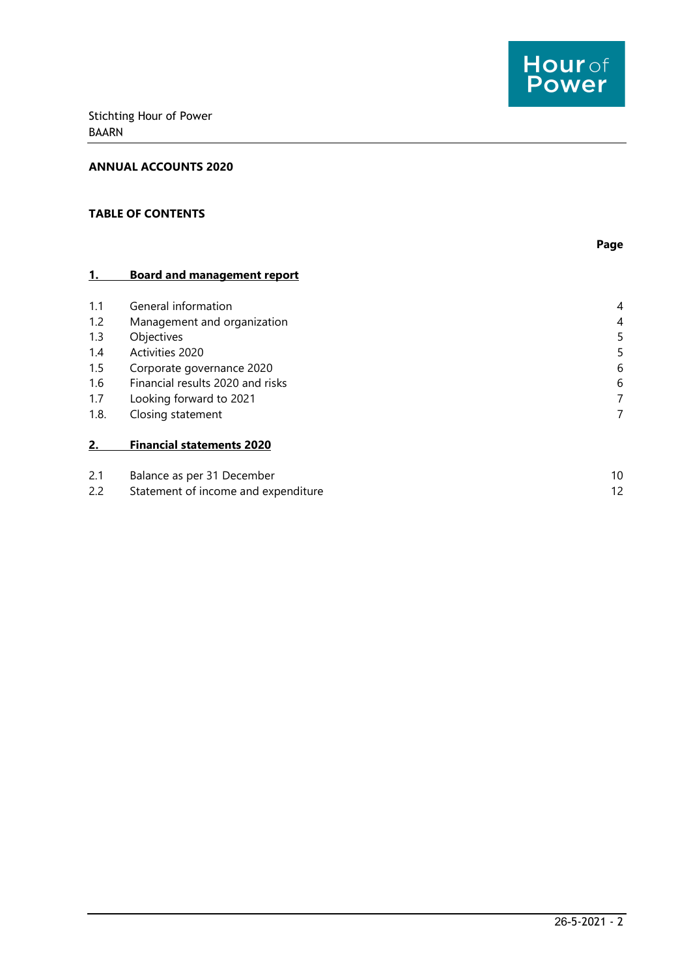

#### ANNUAL ACCOUNTS 2020

## TABLE OF CONTENTS

|      |                                     | Page |
|------|-------------------------------------|------|
| 1.   | <b>Board and management report</b>  |      |
| 1.1  | General information                 | 4    |
| 1.2  | Management and organization         | 4    |
| 1.3  | Objectives                          | 5    |
| 1.4  | Activities 2020                     | 5    |
| 1.5  | Corporate governance 2020           | 6    |
| 1.6  | Financial results 2020 and risks    | 6    |
| 1.7  | Looking forward to 2021             | 7    |
| 1.8. | Closing statement                   | 7    |
| 2.   | <b>Financial statements 2020</b>    |      |
| 2.1  | Balance as per 31 December          | 10   |
| 2.2  | Statement of income and expenditure | 12   |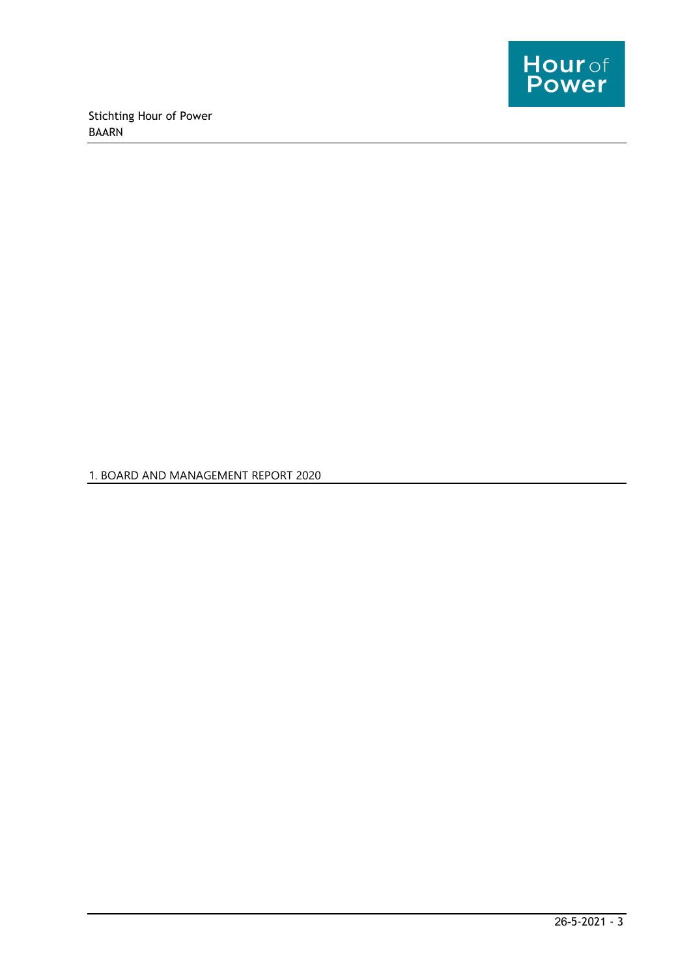

1. BOARD AND MANAGEMENT REPORT 2020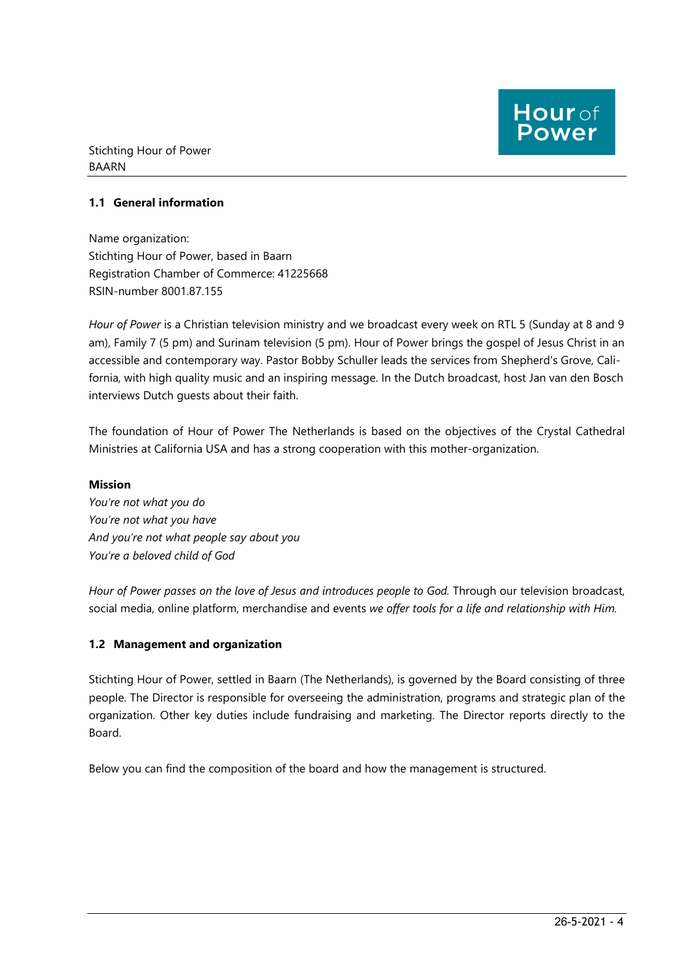## 1.1 General information

Name organization: Stichting Hour of Power, based in Baarn Registration Chamber of Commerce: 41225668 RSIN-number 8001.87.155

Hour of Power is a Christian television ministry and we broadcast every week on RTL 5 (Sunday at 8 and 9 am), Family 7 (5 pm) and Surinam television (5 pm). Hour of Power brings the gospel of Jesus Christ in an accessible and contemporary way. Pastor Bobby Schuller leads the services from Shepherd's Grove, California, with high quality music and an inspiring message. In the Dutch broadcast, host Jan van den Bosch interviews Dutch guests about their faith.

The foundation of Hour of Power The Netherlands is based on the objectives of the Crystal Cathedral Ministries at California USA and has a strong cooperation with this mother-organization.

#### Mission

You're not what you do You're not what you have And you're not what people say about you You're a beloved child of God

Hour of Power passes on the love of Jesus and introduces people to God. Through our television broadcast, social media, online platform, merchandise and events we offer tools for a life and relationship with Him.

## 1.2 Management and organization

Stichting Hour of Power, settled in Baarn (The Netherlands), is governed by the Board consisting of three people. The Director is responsible for overseeing the administration, programs and strategic plan of the organization. Other key duties include fundraising and marketing. The Director reports directly to the Board.

Below you can find the composition of the board and how the management is structured.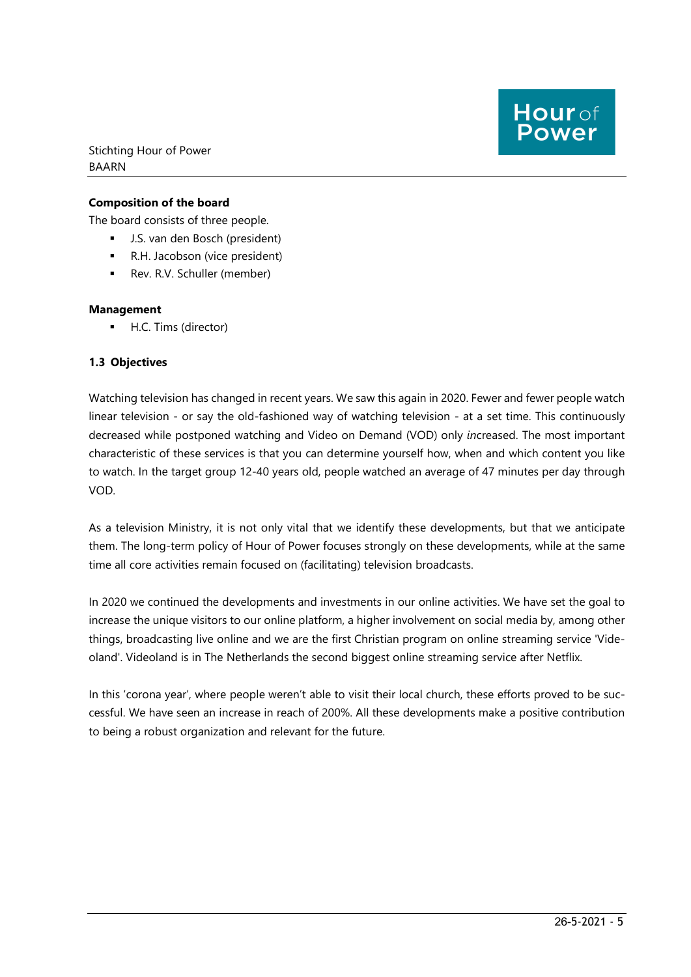## Composition of the board

The board consists of three people.

- J.S. van den Bosch (president)
- R.H. Jacobson (vice president)
- Rev. R.V. Schuller (member)

#### Management

**H.C. Tims (director)** 

## 1.3 Objectives

Watching television has changed in recent years. We saw this again in 2020. Fewer and fewer people watch linear television - or say the old-fashioned way of watching television - at a set time. This continuously decreased while postponed watching and Video on Demand (VOD) only increased. The most important characteristic of these services is that you can determine yourself how, when and which content you like to watch. In the target group 12-40 years old, people watched an average of 47 minutes per day through VOD.

As a television Ministry, it is not only vital that we identify these developments, but that we anticipate them. The long-term policy of Hour of Power focuses strongly on these developments, while at the same time all core activities remain focused on (facilitating) television broadcasts.

In 2020 we continued the developments and investments in our online activities. We have set the goal to increase the unique visitors to our online platform, a higher involvement on social media by, among other things, broadcasting live online and we are the first Christian program on online streaming service 'Videoland'. Videoland is in The Netherlands the second biggest online streaming service after Netflix.

In this 'corona year', where people weren't able to visit their local church, these efforts proved to be successful. We have seen an increase in reach of 200%. All these developments make a positive contribution to being a robust organization and relevant for the future.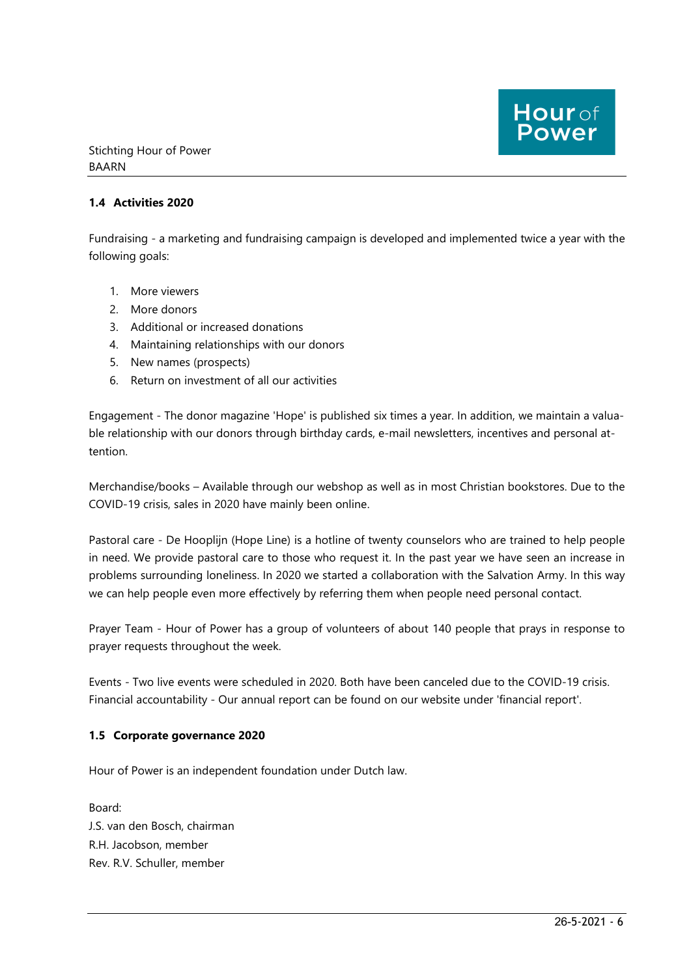## 1.4 Activities 2020

Fundraising - a marketing and fundraising campaign is developed and implemented twice a year with the following goals:

- 1. More viewers
- 2. More donors
- 3. Additional or increased donations
- 4. Maintaining relationships with our donors
- 5. New names (prospects)
- 6. Return on investment of all our activities

Engagement - The donor magazine 'Hope' is published six times a year. In addition, we maintain a valuable relationship with our donors through birthday cards, e-mail newsletters, incentives and personal attention.

Merchandise/books – Available through our webshop as well as in most Christian bookstores. Due to the COVID-19 crisis, sales in 2020 have mainly been online.

Pastoral care - De Hooplijn (Hope Line) is a hotline of twenty counselors who are trained to help people in need. We provide pastoral care to those who request it. In the past year we have seen an increase in problems surrounding loneliness. In 2020 we started a collaboration with the Salvation Army. In this way we can help people even more effectively by referring them when people need personal contact.

Prayer Team - Hour of Power has a group of volunteers of about 140 people that prays in response to prayer requests throughout the week.

Events - Two live events were scheduled in 2020. Both have been canceled due to the COVID-19 crisis. Financial accountability - Our annual report can be found on our website under 'financial report'.

#### 1.5 Corporate governance 2020

Hour of Power is an independent foundation under Dutch law.

Board: J.S. van den Bosch, chairman R.H. Jacobson, member Rev. R.V. Schuller, member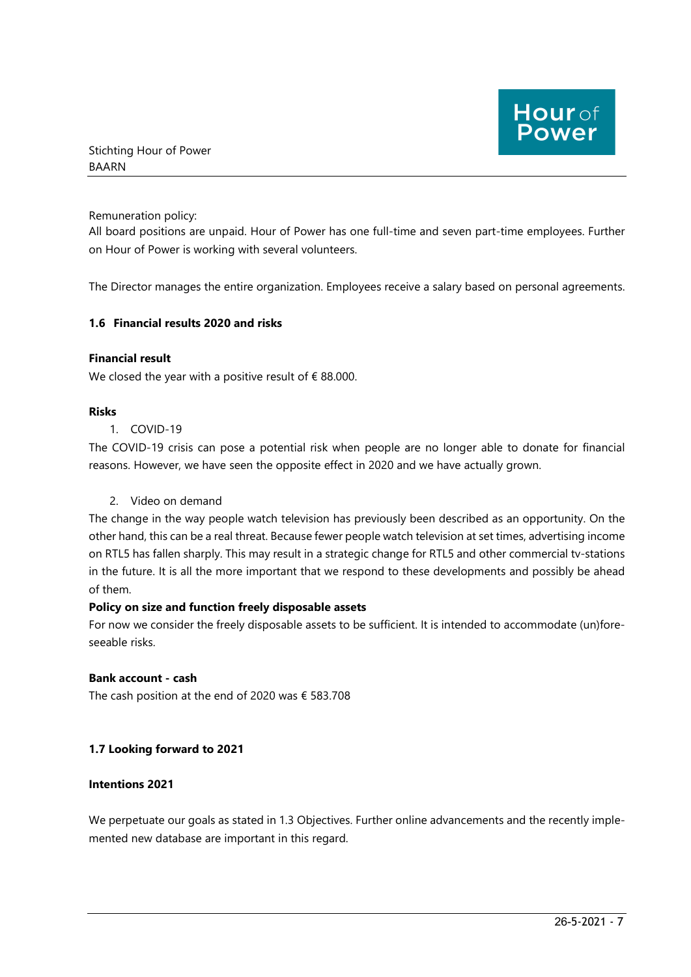Remuneration policy:

All board positions are unpaid. Hour of Power has one full-time and seven part-time employees. Further on Hour of Power is working with several volunteers.

The Director manages the entire organization. Employees receive a salary based on personal agreements.

## 1.6 Financial results 2020 and risks

#### Financial result

We closed the year with a positive result of  $\epsilon$  88.000.

#### Risks

#### 1. COVID-19

The COVID-19 crisis can pose a potential risk when people are no longer able to donate for financial reasons. However, we have seen the opposite effect in 2020 and we have actually grown.

## 2. Video on demand

The change in the way people watch television has previously been described as an opportunity. On the other hand, this can be a real threat. Because fewer people watch television at set times, advertising income on RTL5 has fallen sharply. This may result in a strategic change for RTL5 and other commercial tv-stations in the future. It is all the more important that we respond to these developments and possibly be ahead of them.

#### Policy on size and function freely disposable assets

For now we consider the freely disposable assets to be sufficient. It is intended to accommodate (un)foreseeable risks.

## Bank account - cash

The cash position at the end of 2020 was € 583.708

#### 1.7 Looking forward to 2021

#### Intentions 2021

We perpetuate our goals as stated in 1.3 Objectives. Further online advancements and the recently implemented new database are important in this regard.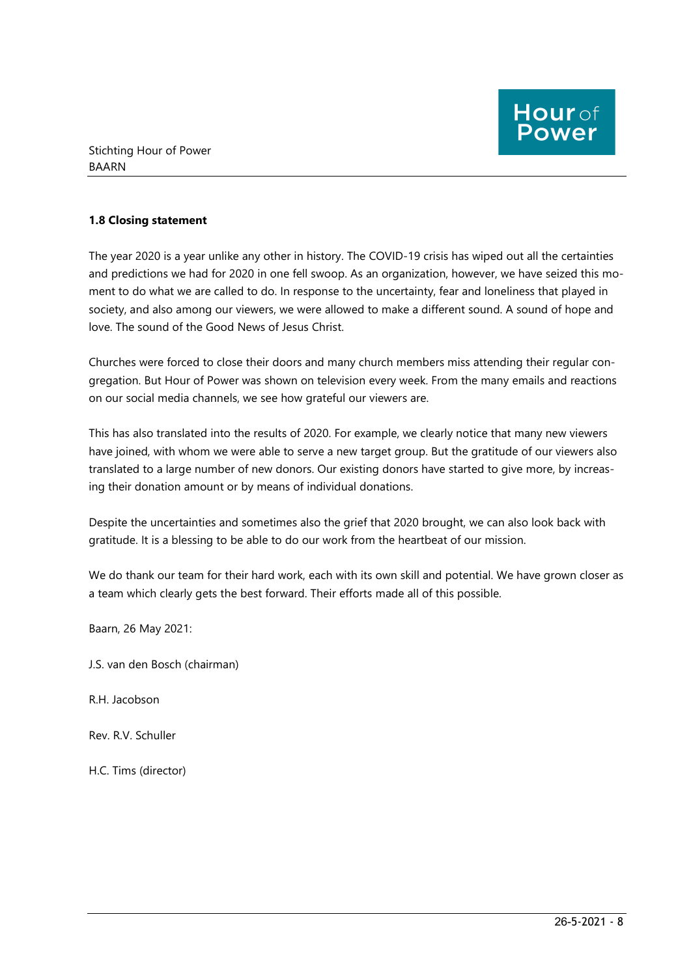## 1.8 Closing statement

The year 2020 is a year unlike any other in history. The COVID-19 crisis has wiped out all the certainties and predictions we had for 2020 in one fell swoop. As an organization, however, we have seized this moment to do what we are called to do. In response to the uncertainty, fear and loneliness that played in society, and also among our viewers, we were allowed to make a different sound. A sound of hope and love. The sound of the Good News of Jesus Christ.

Churches were forced to close their doors and many church members miss attending their regular congregation. But Hour of Power was shown on television every week. From the many emails and reactions on our social media channels, we see how grateful our viewers are.

This has also translated into the results of 2020. For example, we clearly notice that many new viewers have joined, with whom we were able to serve a new target group. But the gratitude of our viewers also translated to a large number of new donors. Our existing donors have started to give more, by increasing their donation amount or by means of individual donations.

Despite the uncertainties and sometimes also the grief that 2020 brought, we can also look back with gratitude. It is a blessing to be able to do our work from the heartbeat of our mission.

We do thank our team for their hard work, each with its own skill and potential. We have grown closer as a team which clearly gets the best forward. Their efforts made all of this possible.

Baarn, 26 May 2021:

J.S. van den Bosch (chairman)

R.H. Jacobson

Rev. R.V. Schuller

H.C. Tims (director)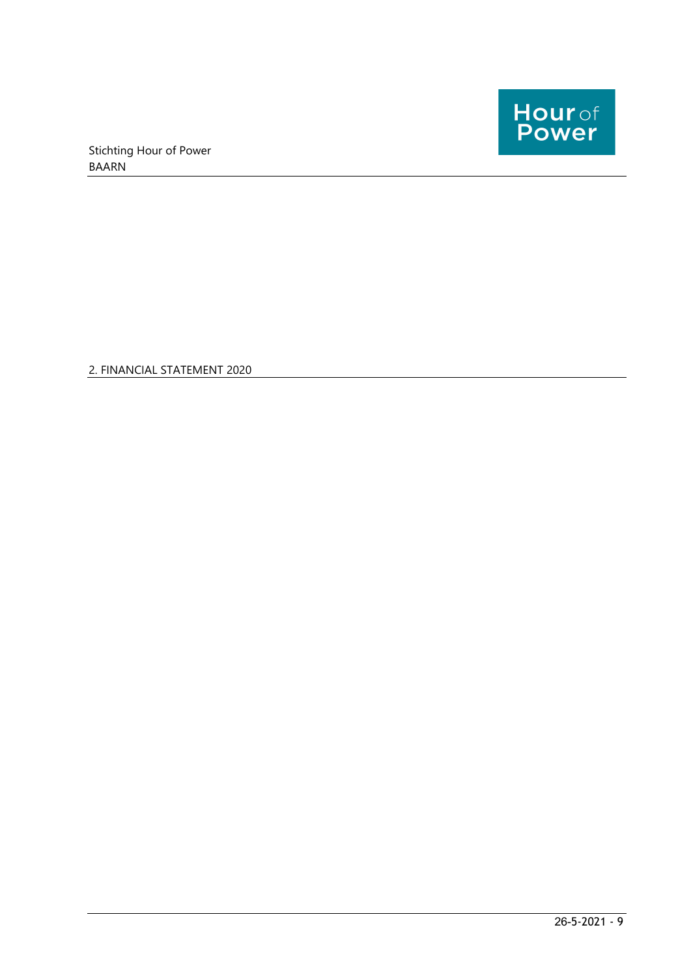

2. FINANCIAL STATEMENT 2020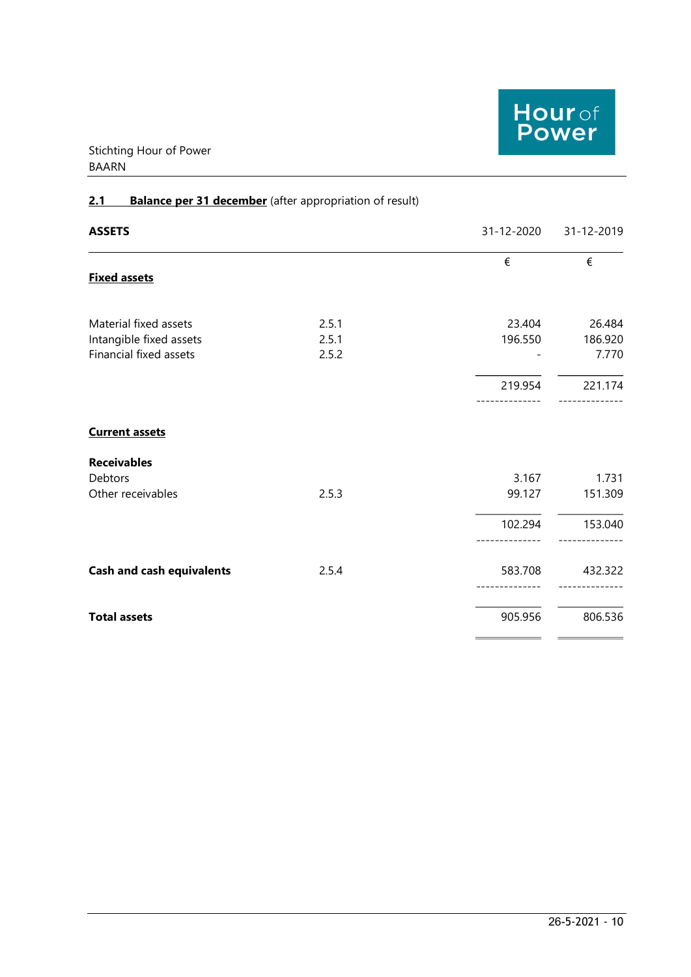

# 2.1 Balance per 31 december (after appropriation of result)

| <b>ASSETS</b>                    |       | 31-12-2020 | 31-12-2019 |
|----------------------------------|-------|------------|------------|
| <b>Fixed assets</b>              |       | €          | €          |
| Material fixed assets            | 2.5.1 | 23.404     | 26.484     |
| Intangible fixed assets          | 2.5.1 | 196.550    | 186.920    |
| Financial fixed assets           | 2.5.2 |            | 7.770      |
|                                  |       | 219.954    | 221.174    |
| <b>Current assets</b>            |       |            |            |
| <b>Receivables</b>               |       |            |            |
| Debtors                          |       | 3.167      | 1.731      |
| Other receivables                | 2.5.3 | 99.127     | 151.309    |
|                                  |       | 102.294    | 153.040    |
| <b>Cash and cash equivalents</b> | 2.5.4 | 583.708    | 432.322    |
| <b>Total assets</b>              |       | 905.956    | 806.536    |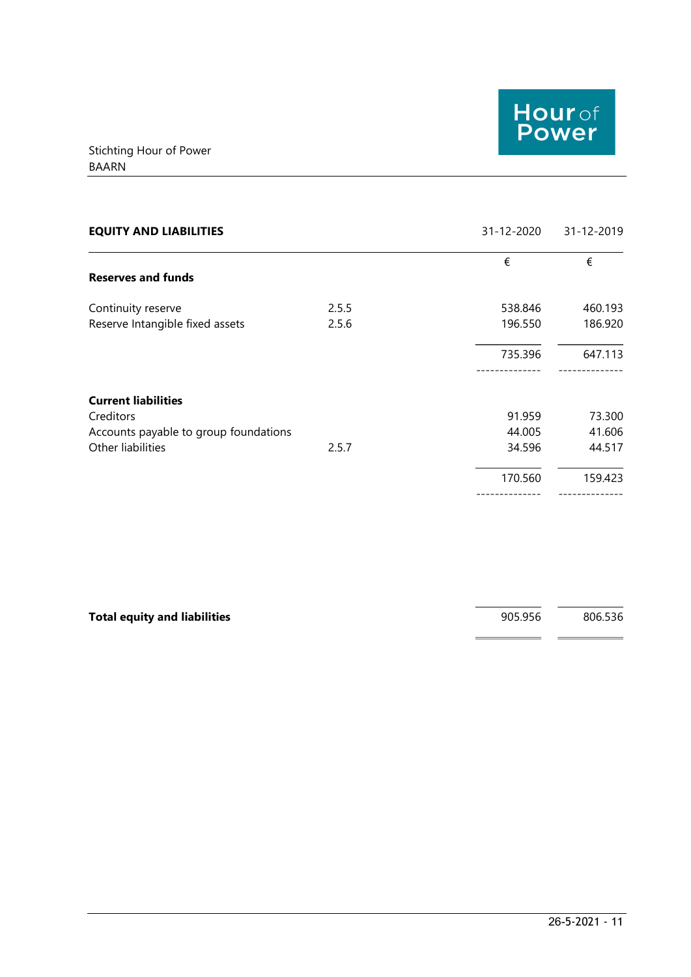

| <b>EQUITY AND LIABILITIES</b>         |       | 31-12-2020 | 31-12-2019 |
|---------------------------------------|-------|------------|------------|
|                                       |       | €          | €          |
| <b>Reserves and funds</b>             |       |            |            |
| Continuity reserve                    | 2.5.5 | 538.846    | 460.193    |
| Reserve Intangible fixed assets       | 2.5.6 | 196.550    | 186.920    |
|                                       |       | 735.396    | 647.113    |
| <b>Current liabilities</b>            |       |            |            |
| Creditors                             |       | 91.959     | 73.300     |
| Accounts payable to group foundations |       | 44.005     | 41.606     |
| Other liabilities                     | 2.5.7 | 34.596     | 44.517     |
|                                       |       | 170.560    | 159.423    |
|                                       |       |            |            |

| <b>Total equity and liabilities</b> | 905.956 | 806.536 |
|-------------------------------------|---------|---------|
|                                     |         |         |